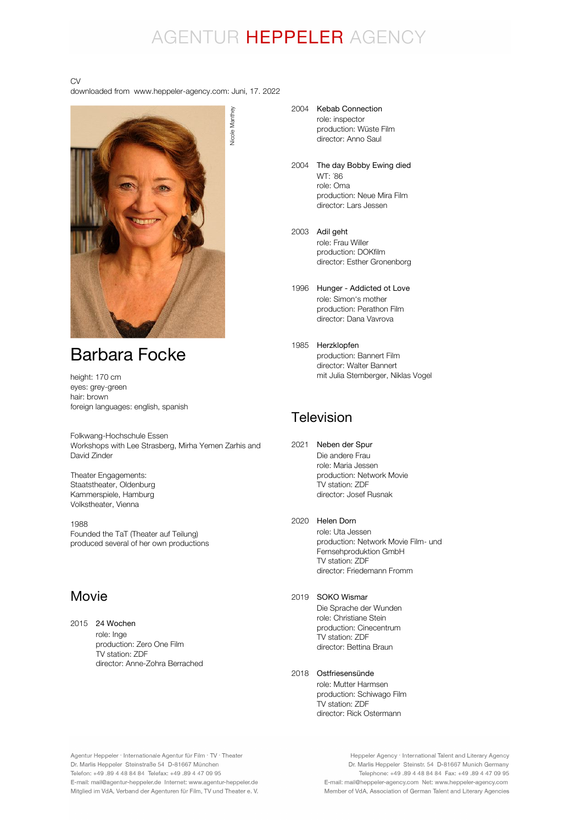## AGENTUR HEPPELER AGENCY

#### CV

downloaded from www.heppeler-agency.com: Juni, 17. 2022



### Barbara Focke

height: 170 cm eyes: grey-green hair: brown foreign languages: english, spanish

Folkwang-Hochschule Essen Workshops with Lee Strasberg, Mirha Yemen Zarhis and David Zinder

Theater Engagements: Staatstheater, Oldenburg Kammerspiele, Hamburg Volkstheater, Vienna

1988 Founded the TaT (Theater auf Teilung) produced several of her own productions

### Movie

2015 24 Wochen role: Inge production: Zero One Film TV station: ZDF director: Anne-Zohra Berrached

Nicole Manthey

#### 2004 Kebab Connection role: inspector

production: Wüste Film director: Anno Saul

- 2004 The day Bobby Ewing died WT: ´86 role: Oma production: Neue Mira Film director: Lars Jessen
- 2003 Adil geht role: Frau Willer production: DOKfilm director: Esther Gronenborg
- 1996 Hunger Addicted ot Love role: Simon's mother production: Perathon Film director: Dana Vavrova
- 1985 Herzklopfen production: Bannert Film director: Walter Bannert mit Julia Stemberger, Niklas Vogel

### Television

2021 Neben der Spur Die andere Frau role: Maria Jessen production: Network Movie TV station: ZDF director: Josef Rusnak

#### 2020 Helen Dorn

role: Uta Jessen production: Network Movie Film- und Fernsehproduktion GmbH TV station: ZDF director: Friedemann Fromm

#### 2019 SOKO Wismar

Die Sprache der Wunden role: Christiane Stein production: Cinecentrum TV station: ZDF director: Bettina Braun

#### 2018 Ostfriesensünde

role: Mutter Harmsen production: Schiwago Film TV station: ZDF director: Rick Ostermann

Agentur Heppeler · Internationale Agentur für Film · TV · Theater Dr. Marlis Heppeler Steinstraße 54 D-81667 München Telefon: +49.89 4 48 84 84 Telefax: +49.89 4 47 09 95 E-mail: mail@agentur-heppeler.de Internet: www.agentur-heppeler.de Mitglied im VdA, Verband der Agenturen für Film, TV und Theater e. V.

Heppeler Agency · International Talent and Literary Agency Dr. Marlis Heppeler Steinstr. 54 D-81667 Munich Germany Telephone: +49 .89 4 48 84 84 Fax: +49 .89 4 47 09 95 E-mail: mail@heppeler-agency.com Net: www.heppeler-agency.com Member of VdA, Association of German Talent and Literary Agencies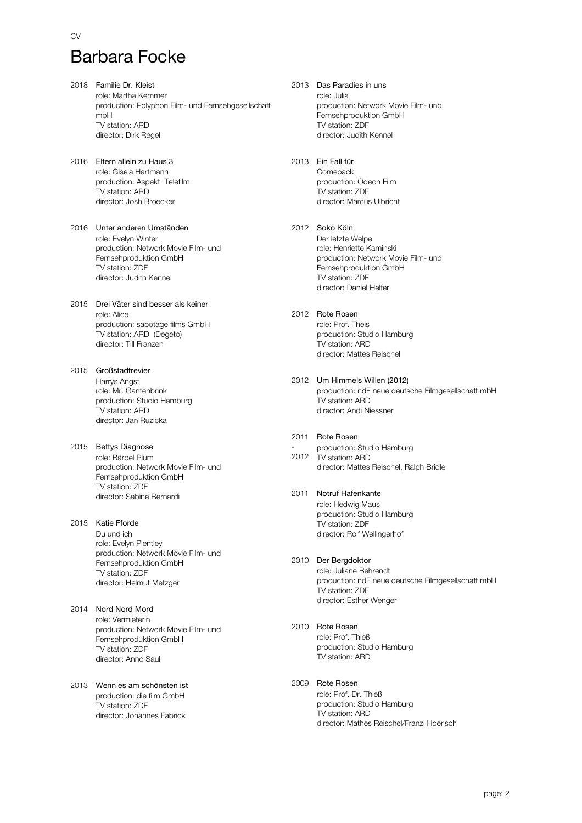CV

- 2018 Familie Dr. Kleist role: Martha Kemmer production: Polyphon Film- und Fernsehgesellschaft mbH TV station: ARD director: Dirk Regel
- 2016 Eltern allein zu Haus 3 role: Gisela Hartmann production: Aspekt Telefilm TV station: ARD director: Josh Broecker
- 2016 Unter anderen Umständen role: Evelyn Winter production: Network Movie Film- und Fernsehproduktion GmbH TV station: ZDF director: Judith Kennel
- 2015 Drei Väter sind besser als keiner role: Alice production: sabotage films GmbH TV station: ARD (Degeto) director: Till Franzen
- 2015 Großstadtrevier Harrys Angst role: Mr. Gantenbrink production: Studio Hamburg TV station: ARD director: Jan Ruzicka
- 2015 Bettys Diagnose role: Bärbel Plum production: Network Movie Film- und Fernsehproduktion GmbH TV station: ZDF director: Sabine Bernardi
- 2015 Katie Fforde Du und ich role: Evelyn Plentley production: Network Movie Film- und Fernsehproduktion GmbH TV station: ZDF director: Helmut Metzger
- 2014 Nord Nord Mord role: Vermieterin production: Network Movie Film- und Fernsehproduktion GmbH TV station: ZDF director: Anno Saul
- 2013 Wenn es am schönsten ist production: die film GmbH TV station: ZDF director: Johannes Fabrick
- 2013 Das Paradies in uns role: Julia production: Network Movie Film- und Fernsehproduktion GmbH TV station: ZDF director: Judith Kennel
- 2013 Ein Fall für Comeback production: Odeon Film TV station: ZDF director: Marcus Ulbricht
- 2012 Soko Köln Der letzte Welpe role: Henriette Kaminski production: Network Movie Film- und Fernsehproduktion GmbH TV station: ZDF director: Daniel Helfer
- 2012 Rote Rosen role: Prof. Theis production: Studio Hamburg TV station: ARD director: Mattes Reischel
- 2012 Um Himmels Willen (2012) production: ndF neue deutsche Filmgesellschaft mbH TV station: ARD director: Andi Niessner
- 2011 Rote Rosen - 2012 TV station: ARD production: Studio Hamburg director: Mattes Reischel, Ralph Bridle
- 2011 Notruf Hafenkante role: Hedwig Maus production: Studio Hamburg TV station: ZDF director: Rolf Wellingerhof
- 2010 Der Bergdoktor role: Juliane Behrendt production: ndF neue deutsche Filmgesellschaft mbH TV station: ZDF director: Esther Wenger
- 2010 Rote Rosen role: Prof. Thieß production: Studio Hamburg TV station: ARD
- 2009 Rote Rosen role: Prof. Dr. Thieß production: Studio Hamburg TV station: ARD director: Mathes Reischel/Franzi Hoerisch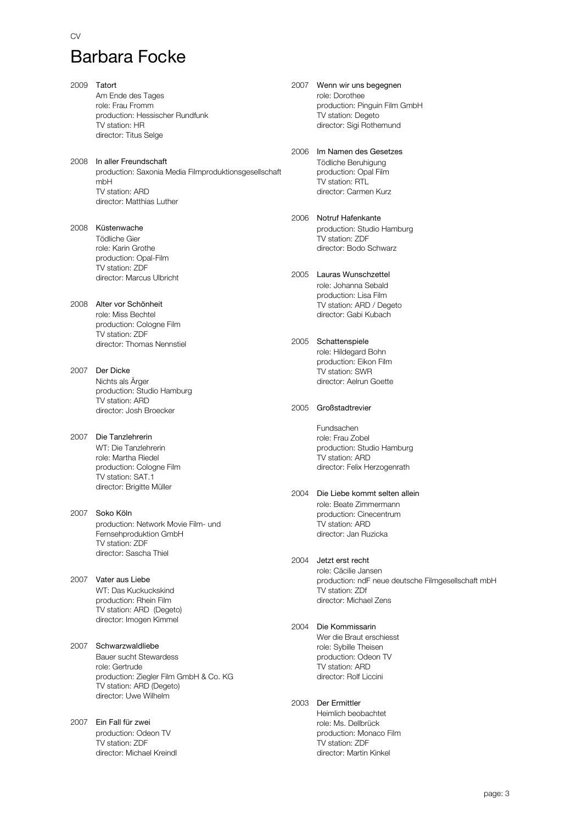2009 Tatort Am Ende des Tages role: Frau Fromm production: Hessischer Rundfunk TV station: HR director: Titus Selge 2008 In aller Freundschaft production: Saxonia Media Filmproduktionsgesellschaft mbH TV station: ARD director: Matthias Luther 2008 Küstenwache Tödliche Gier role: Karin Grothe production: Opal-Film TV station: ZDF director: Marcus Ulbricht 2008 Alter vor Schönheit role: Miss Bechtel production: Cologne Film TV station: ZDF director: Thomas Nennstiel 2007 Der Dicke Nichts als Ärger production: Studio Hamburg TV station: ARD director: Josh Broecker 2007 Die Tanzlehrerin WT: Die Tanzlehrerin role: Martha Riedel production: Cologne Film TV station: SAT.1 director: Brigitte Müller 2007 Soko Köln production: Network Movie Film- und Fernsehproduktion GmbH TV station: ZDF director: Sascha Thiel 2007 Vater aus Liebe WT: Das Kuckuckskind production: Rhein Film TV station: ARD (Degeto) director: Imogen Kimmel 2007 Schwarzwaldliebe Bauer sucht Stewardess role: Gertrude production: Ziegler Film GmbH & Co. KG TV station: ARD (Degeto) director: Uwe Wilhelm 2007 Ein Fall für zwei production: Odeon TV TV station: ZDF director: Michael Kreindl

2007 Wenn wir uns begegnen role: Dorothee production: Pinguin Film GmbH TV station: Degeto director: Sigi Rothemund

2006 Im Namen des Gesetzes Tödliche Beruhigung production: Opal Film TV station: RTL director: Carmen Kurz

2006 Notruf Hafenkante production: Studio Hamburg TV station: ZDF director: Bodo Schwarz

#### 2005 Lauras Wunschzettel role: Johanna Sebald production: Lisa Film TV station: ARD / Degeto director: Gabi Kubach

2005 Schattenspiele role: Hildegard Bohn

production: Eikon Film TV station: SWR director: Aelrun Goette

#### 2005 Großstadtrevier

Fundsachen role: Frau Zobel production: Studio Hamburg TV station: ARD director: Felix Herzogenrath

- 2004 Die Liebe kommt selten allein role: Beate Zimmermann production: Cinecentrum TV station: ARD director: Jan Ruzicka
- 2004 Jetzt erst recht role: Cäcilie Jansen production: ndF neue deutsche Filmgesellschaft mbH TV station: ZDf director: Michael Zens
- 2004 Die Kommissarin Wer die Braut erschiesst role: Sybille Theisen production: Odeon TV TV station: ARD director: Rolf Liccini

#### 2003 Der Ermittler Heimlich beobachtet role: Ms. Dellbrück production: Monaco Film TV station: ZDF director: Martin Kinkel

CV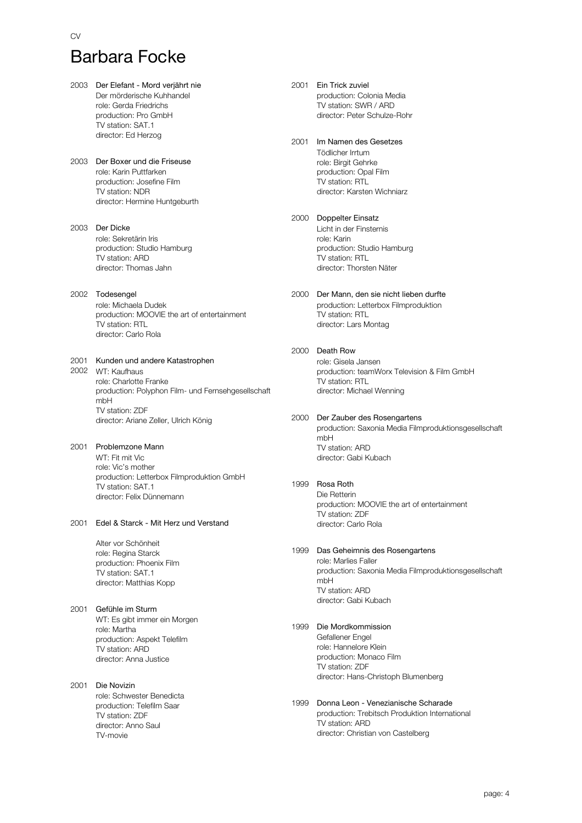#### CV

# Barbara Focke

2003 Der Elefant - Mord verjährt nie Der mörderische Kuhhandel role: Gerda Friedrichs production: Pro GmbH TV station: SAT.1 director: Ed Herzog 2003 Der Boxer und die Friseuse role: Karin Puttfarken production: Josefine Film TV station: NDR director: Hermine Huntgeburth 2003 Der Dicke role: Sekretärin Iris production: Studio Hamburg TV station: ARD director: Thomas Jahn 2002 Todesengel role: Michaela Dudek production: MOOVIE the art of entertainment TV station: RTL director: Carlo Rola 2001 Kunden und andere Katastrophen 2002 WT: Kaufhaus role: Charlotte Franke production: Polyphon Film- und Fernsehgesellschaft mbH TV station: ZDF director: Ariane Zeller, Ulrich König 2001 Problemzone Mann WT: Fit mit Vic role: Vic's mother production: Letterbox Filmproduktion GmbH TV station: SAT.1 director: Felix Dünnemann 2001 Edel & Starck - Mit Herz und Verstand Alter vor Schönheit role: Regina Starck production: Phoenix Film TV station: SAT.1 director: Matthias Kopp 2001 Gefühle im Sturm WT: Es gibt immer ein Morgen role: Martha production: Aspekt Telefilm TV station: ARD director: Anna Justice 2001 Die Novizin

role: Schwester Benedicta production: Telefilm Saar TV station: ZDF director: Anno Saul TV-movie

2001 Ein Trick zuviel production: Colonia Media TV station: SWR / ARD director: Peter Schulze-Rohr

#### 2001 Im Namen des Gesetzes

Tödlicher Irrtum role: Birgit Gehrke production: Opal Film TV station: RTL director: Karsten Wichniarz

#### 2000 Doppelter Einsatz

Licht in der Finsternis role: Karin production: Studio Hamburg TV station: RTL director: Thorsten Näter

2000 Der Mann, den sie nicht lieben durfte production: Letterbox Filmproduktion TV station: RTL director: Lars Montag

#### 2000 Death Row

role: Gisela Jansen production: teamWorx Television & Film GmbH TV station: RTL director: Michael Wenning

#### 2000 Der Zauber des Rosengartens

production: Saxonia Media Filmproduktionsgesellschaft mbH TV station: ARD director: Gabi Kubach

#### 1999 Rosa Roth

Die Retterin production: MOOVIE the art of entertainment TV station: ZDF director: Carlo Rola

#### 1999 Das Geheimnis des Rosengartens

role: Marlies Faller production: Saxonia Media Filmproduktionsgesellschaft mbH TV station: ARD director: Gabi Kubach

### 1999 Die Mordkommission

Gefallener Engel role: Hannelore Klein production: Monaco Film TV station: ZDF director: Hans-Christoph Blumenberg

#### 1999 Donna Leon - Venezianische Scharade production: Trebitsch Produktion International TV station: ARD director: Christian von Castelberg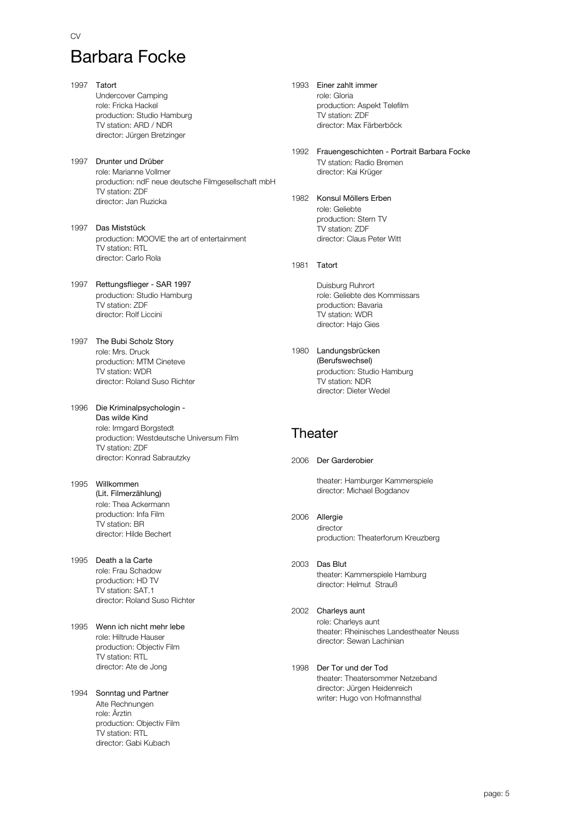CV

1997 Tatort Undercover Camping role: Fricka Hackel production: Studio Hamburg TV station: ARD / NDR director: Jürgen Bretzinger 1997 Drunter und Drüber role: Marianne Vollmer production: ndF neue deutsche Filmgesellschaft mbH TV station: ZDF director: Jan Ruzicka 1997 Das Miststück production: MOOVIE the art of entertainment TV station: RTL director: Carlo Rola 1997 Rettungsflieger - SAR 1997 production: Studio Hamburg TV station: ZDF director: Rolf Liccini 1997 The Bubi Scholz Story role: Mrs. Druck production: MTM Cineteve TV station: WDR director: Roland Suso Richter 1996 Die Kriminalpsychologin role: Irmgard Borgstedt production: Westdeutsche Universum Film TV station: ZDF director: Konrad Sabrautzky Das wilde Kind 1995 Willkommen role: Thea Ackermann production: Infa Film TV station: BR director: Hilde Bechert (Lit. Filmerzählung) 1995 Death a la Carte role: Frau Schadow production: HD TV TV station: SAT.1 director: Roland Suso Richter 1995 Wenn ich nicht mehr lebe

role: Hiltrude Hauser production: Objectiv Film TV station: RTL director: Ate de Jong

#### 1994 Sonntag und Partner Alte Rechnungen role: Ärztin production: Objectiv Film TV station: RTL director: Gabi Kubach

1993 Einer zahlt immer role: Gloria production: Aspekt Telefilm TV station: ZDF director: Max Färberböck

1992 Frauengeschichten - Portrait Barbara Focke TV station: Radio Bremen director: Kai Krüger

1982 Konsul Möllers Erben role: Geliebte production: Stern TV TV station: ZDF director: Claus Peter Witt

1981 Tatort

Duisburg Ruhrort role: Geliebte des Kommissars production: Bavaria TV station: WDR director: Hajo Gies

1980 Landungsbrücken production: Studio Hamburg TV station: NDR director: Dieter Wedel (Berufswechsel)

### **Theater**

2006 Der Garderobier

theater: Hamburger Kammerspiele director: Michael Bogdanov

- 2006 Allergie director production: Theaterforum Kreuzberg
- 2003 Das Blut theater: Kammerspiele Hamburg director: Helmut Strauß
- 2002 Charleys aunt role: Charleys aunt theater: Rheinisches Landestheater Neuss director: Sewan Lachinian
- 1998 Der Tor und der Tod theater: Theatersommer Netzeband director: Jürgen Heidenreich writer: Hugo von Hofmannsthal